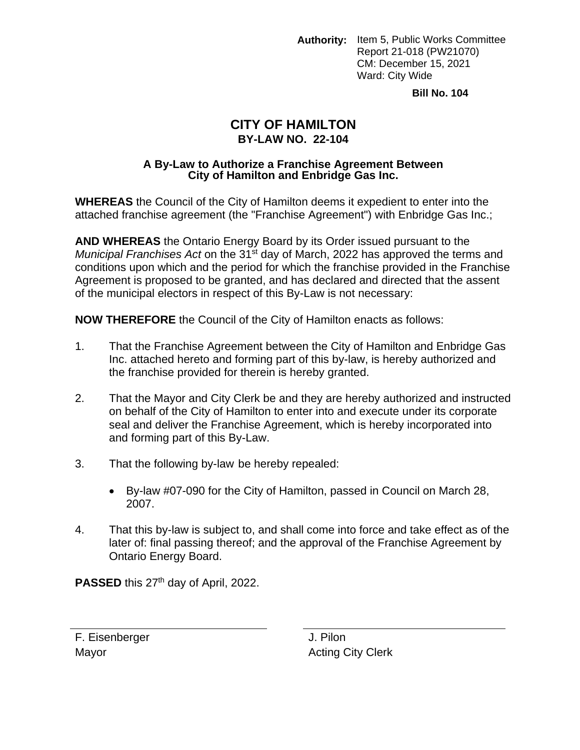**Authority:** Item 5, Public Works Committee Report 21-018 (PW21070) CM: December 15, 2021 Ward: City Wide

 **Bill No. 104** 

# **CITY OF HAMILTON BY-LAW NO. 22-104**

# **A By-Law to Authorize a Franchise Agreement Between City of Hamilton and Enbridge Gas Inc.**

**WHEREAS** the Council of the City of Hamilton deems it expedient to enter into the attached franchise agreement (the "Franchise Agreement") with Enbridge Gas Inc.;

**AND WHEREAS** the Ontario Energy Board by its Order issued pursuant to the *Municipal Franchises Act* on the 31<sup>st</sup> day of March, 2022 has approved the terms and conditions upon which and the period for which the franchise provided in the Franchise Agreement is proposed to be granted, and has declared and directed that the assent of the municipal electors in respect of this By-Law is not necessary:

**NOW THEREFORE** the Council of the City of Hamilton enacts as follows:

- 1. That the Franchise Agreement between the City of Hamilton and Enbridge Gas Inc. attached hereto and forming part of this by-law, is hereby authorized and the franchise provided for therein is hereby granted.
- 2. That the Mayor and City Clerk be and they are hereby authorized and instructed on behalf of the City of Hamilton to enter into and execute under its corporate seal and deliver the Franchise Agreement, which is hereby incorporated into and forming part of this By-Law.
- 3. That the following by-law be hereby repealed:
	- By-law #07-090 for the City of Hamilton, passed in Council on March 28, 2007.
- 4. That this by-law is subject to, and shall come into force and take effect as of the later of: final passing thereof; and the approval of the Franchise Agreement by Ontario Energy Board.

PASSED this 27<sup>th</sup> day of April, 2022.

F. Eisenberger J. Pilon

Mayor **Mayor** Acting City Clerk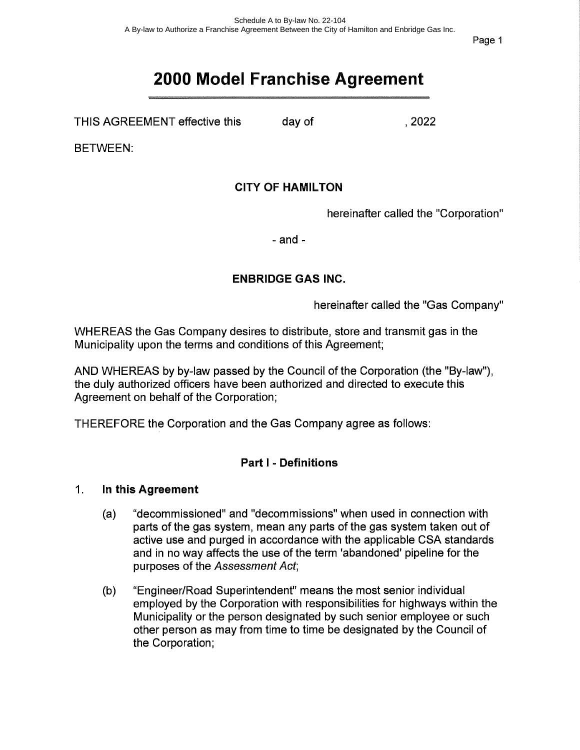Page 1

# 2000 Model Franchise Agreement

THIS AGREEMENT effective this day of the state of the state of the state of the state of the state of the state of the state of the state of the state of the state of the state of the state of the state of the state of the

BETWEEN:

# CITY OF HAMILTON

hereinafter called the "Corporation"

- and -

# ENBRIDGE GAS INC.

hereinafter called the "Gas Company"

WHEREAS the Gas Company desires to distribute, store and transmit gas in the Municipality upon the terms and conditions of this Agreement;

AND WHEREAS by by-law passed by the Council of the Corporation (the "By-law"), the duly authorized officers have been authorized and directed to execute this Agreement on behalf of the Corporation;

THEREFORE the Corporation and the Gas Company agree as follows:

# Part I - Definitions

# 1. In this Agreement

- (a) "decommissioned" and "decommissions" when used in connection with parts of the gas system, mean any parts of the gas system taken out of active use and purged in accordance with the applicable CSA standards and in no way affects the use of the term 'abandoned' pipeline for the purposes of the Assessment Act,
- (b) Engineer/Road Superintendent" means the most senior individual employed by the Corporation with responsibilities for highways within the Municipality or the person designated by such senior employee or such other person as may from time to time be designated by the Council of the Corporation;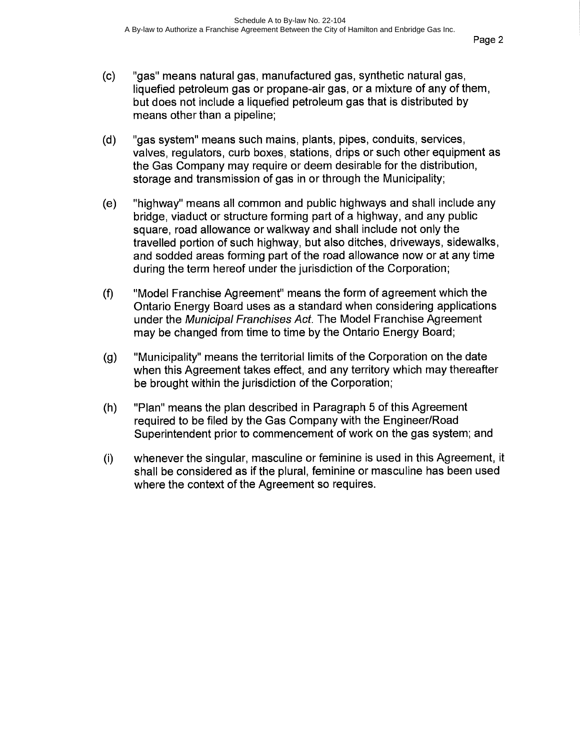- (c) "gas" means natural gas, manufactured gas, synthetic natural gas, liquefied petroleum gas or propane-air gas, or a mixture of any of them, but does not include a liquefied petroleum gas that is distributed by means other than a pipeline;
- (d) "gas system" means such mains, plants, pipes, conduits, services, valves, regulators, curb boxes, stations, drips or such other equipment as the Gas Company may require or deem desirable for the distribution, storage and transmission of gas in or through the Municipality;
- (e) "highway" means all common and public highways and shall include any bridge, viaduct or structure forming part of a highway, and any public square, road allowance or walkway and shall include not only the travelled portion of such highway, but also ditches, driveways, sidewalks, and sodded areas forming part of the road allowance now or at any time during the term hereof under the jurisdiction of the Corporation;
- (f) "Model Franchise Agreement" means the form of agreement which the Ontario Energy Board uses as a standard when considering applications under the Municipal Franchises Act. The Model Franchise Agreement may be changed from time to time by the Ontario Energy Board;
- (g) "Municipality" means the territorial limits of the Corporation on the date when this Agreement takes effect, and any territory which may thereafter be brought within the jurisdiction of the Corporation;
- (h) "Plan" means the plan described in Paragraph 5 of this Agreement required to be filed by the Gas Company with the Engineer/Road Superintendent prior to commencement of work on the gas system; and
- (i) whenever the singular, masculine or feminine is used in this Agreement, it shall be considered as if the plural, feminine or masculine has been used where the context of the Agreement so requires.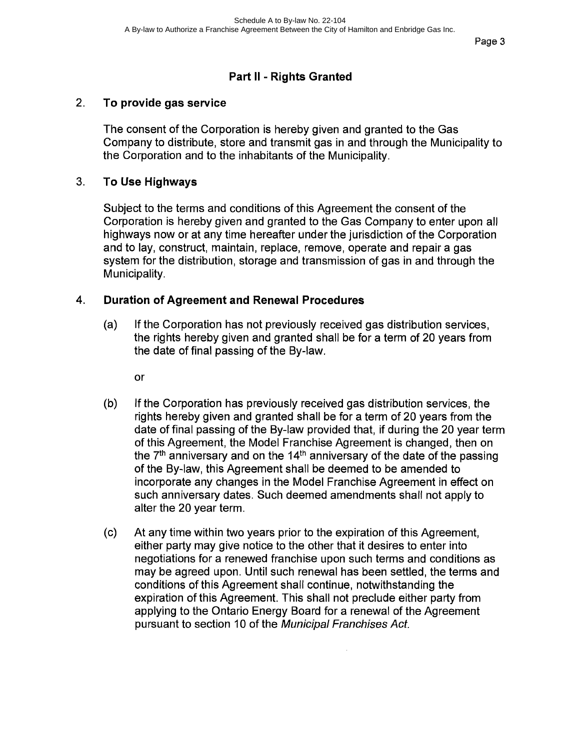# Part II - Rights Granted

#### 2. To provide gas service

The consent of the Corporation is hereby given and granted to the Gas Company to distribute, store and transmit gas in and through the Municipality to the Corporation and to the inhabitants of the Municipality.

#### 3. To Use Highways

Subject to the terms and conditions of this Agreement the consent of the Corporation is hereby given and granted to the Gas Company to enter upon all highways now or at any time hereafter under the jurisdiction of the Corporation and to lay, construct, maintain, replace, remove, operate and repair a gas system for the distribution, storage and transmission of gas in and through the Municipality.

#### 4. Duration of Agreement and Renewal Procedures

(a) If the Corporation has not previously received gas distribution services, the rights hereby given and granted shall be for a term of 20 years from the date of final passing of the By-law.

or

- (b) If the Corporation has previously received gas distribution services, the rights hereby given and granted shall be for a term of 20 years from the date of final passing of the By-law provided that, if during the 20 year term of this Agreement, the Model Franchise Agreement is changed, then on the  $7<sup>th</sup>$  anniversary and on the 14<sup>th</sup> anniversary of the date of the passing of the By-law, this Agreement shall be deemed to be amended to incorporate any changes in the Model Franchise Agreement in effect on such anniversary dates. Such deemed amendments shall not apply to alter the 20 year term.
- (c) At any time within two years prior to the expiration of this Agreement, either party may give notice to the other that it desires to enter into negotiations for a renewed franchise upon such terms and conditions as may be agreed upon. Until such renewal has been settled, the terms and conditions of this Agreement shall continue, notwithstanding the expiration of this Agreement. This shall not preclude either party from applying to the Ontario Energy Board for a renewal of the Agreement pursuant to section 10 of the Municipal Franchises Act.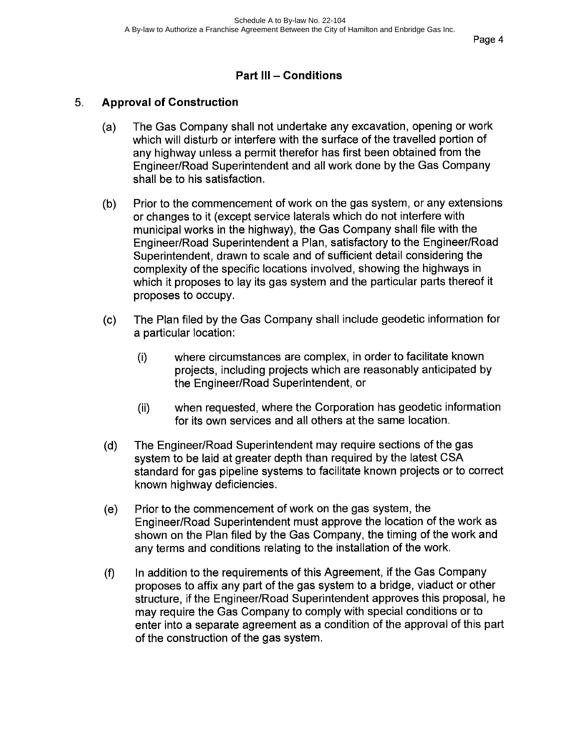# Part III - Conditions

# 5. Approval of Construction

- (a) The Gas Company shall not undertake any excavation, opening or work which will disturb or interfere with the surface of the travelled portion of any highway unless a permit therefor has first been obtained from the Engineer/Road Superintendent and all work done by the Gas Company shall be to his satisfaction.
- (b) Prior to the commencement of work on the gas system, or any extensions or changes to it (except service laterals which do not interfere with municipal works in the highway), the Gas Company shall file with the Engineer/Road Superintendent a Plan, satisfactory to the Engineer/Road Superintendent, drawn to scale and of sufficient detail considering the complexity of the specific locations involved, showing the highways in which it proposes to lay its gas system and the particular parts thereof it proposes to occupy.
- (c) The Plan filed by the Gas Company shall include geodetic information for a particular location:
	- (i) where circumstances are complex, in order to facilitate known projects, including projects which are reasonably anticipated by the Engineer/Road Superintendent, or
	- (ii) when requested, where the Corporation has geodetic information for its own services and all others at the same location.
- (d) The Engineer/Road Superintendent may require sections of the gas system to be laid at greater depth than required by the latest CSA standard for gas pipeline systems to facilitate known projects or to correct known highway deficiencies.
- (e) Prior to the commencement of work on the gas system, the Engineer/Road Superintendent must approve the location of the work as shown on the Plan filed by the Gas Company, the timing of the work and any terms and conditions relating to the installation of the work.
- (f) In addition to the requirements of this Agreement, if the Gas Company proposes to affix any part of the gas system to a bridge, viaduct or other structure, if the Engineer/Road Superintendent approves this proposal, he may require the Gas Company to comply with special conditions or to enter into a separate agreement as a condition of the approval of this part of the construction of the gas system.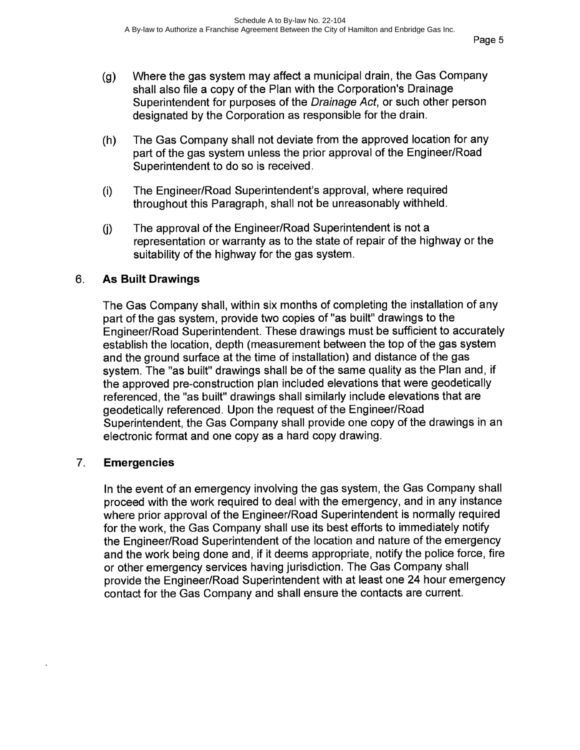- (g) Where the gas system may affect a municipal drain, the Gas Company shall also file a copy of the Plan with the Corporation's Drainage Superintendent for purposes of the *Drainage Act*, or such other person designated by the Corporation as responsible for the drain.
- (h) The Gas Company shall not deviate from the approved location for any part of the gas system unless the prior approval of the Engineer/Road Superintendent to do so is received.
- (i) The Engineer/Road Superintendent's approval, where required throughout this Paragraph, shall not be unreasonably withheld.
- (j) The approval of the Engineer/Road Superintendent is not a representation or warranty as to the state of repair of the highway or the suitability of the highway for the gas system.

# 6. As Built Drawings

The Gas Company shall, within six months of completing the installation of any part of the gas system, provide two copies of "as built" drawings to the Engineer/Road Superintendent. These drawings must be sufficient to accurately establish the location, depth (measurement between the top of the gas system and the ground surface at the time of installation) and distance of the gas system. The "as built" drawings shall be of the same quality as the Plan and, if the approved pre-construction plan included elevations that were geodetically referenced, the "as built" drawings shall similarly include elevations that are geodetically referenced. Upon the request of the Engineer/Road Superintendent, the Gas Company shall provide one copy of the drawings in an electronic format and one copy as a hard copy drawing.

# 7. Emergencies

In the event of an emergency involving the gas system, the Gas Company shall proceed with the work required to deal with the emergency, and in any instance where prior approval of the Engineer/Road Superintendent is normally required for the work, the Gas Company shall use its best efforts to immediately notify the Engineer/Road Superintendent of the location and nature of the emergency and the work being done and, if it deems appropriate, notify the police force, fire or other emergency services having jurisdiction. The Gas Company shall provide the Engineer/Road Superintendent with at least one 24 hour emergency contact for the Gas Company and shall ensure the contacts are current.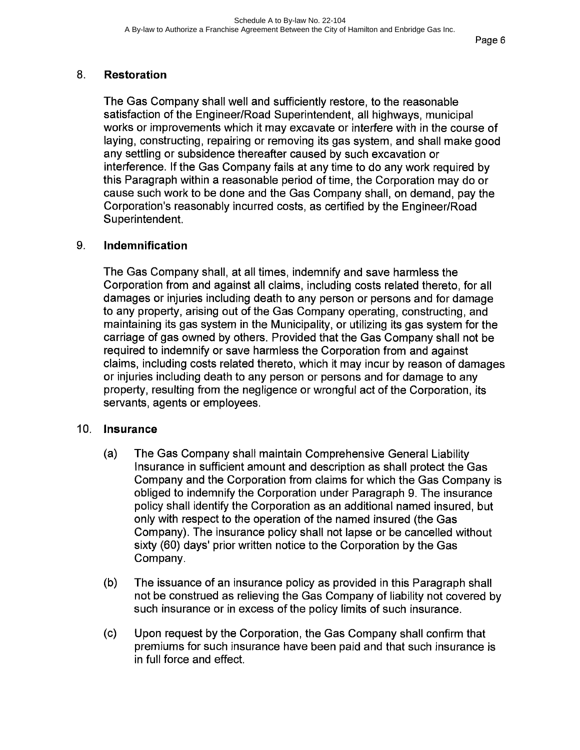# 8. Restoration

The Gas Company shall well and sufficiently restore, to the reasonable satisfaction of the Engineer/Road Superintendent, all highways, municipal works or improvements which it may excavate or interfere with in the course of laying, constructing, repairing or removing its gas system, and shall make good any settling or subsidence thereafter caused by such excavation or interference. If the Gas Company fails at any time to do any work required by this Paragraph within a reasonable period of time, the Corporation may do or cause such work to be done and the Gas Company shall, on demand, pay the Corporation's reasonably incurred costs, as certified by the Engineer/Road Superintendent.

# 9. Indemnification

The Gas Company shall, at all times, indemnify and save harmless the Corporation from and against all claims, including costs related thereto, for all damages or injuries including death to any person or persons and for damage to any property, arising out of the Gas Company operating, constructing, and maintaining its gas system in the Municipality, or utilizing its gas system for the carriage of gas owned by others. Provided that the Gas Company shall not be required to indemnify or save harmless the Corporation from and against claims, including costs related thereto, which it may incur by reason of damages or injuries including death to any person or persons and for damage to any property, resulting from the negligence or wrongful act of the Corporation, its servants, agents or employees.

# 10. Insurance

- (a) The Gas Company shall maintain Comprehensive General Liability Insurance in sufficient amount and description as shall protect the Gas Company and the Corporation from claims for which the Gas Company is obliged to indemnify the Corporation under Paragraph 9. The insurance policy shall identify the Corporation as an additional named insured, but only with respect to the operation of the named insured (the Gas Company). The insurance policy shall not lapse or be cancelled without sixty (60) days' prior written notice to the Corporation by the Gas Company.
- (b) The issuance of an insurance policy as provided in this Paragraph shall not be construed as relieving the Gas Company of liability not covered by such insurance or in excess of the policy limits of such insurance.
- (c) Upon request by the Corporation, the Gas Company shall confirm that premiums for such insurance have been paid and that such insurance is in full force and effect.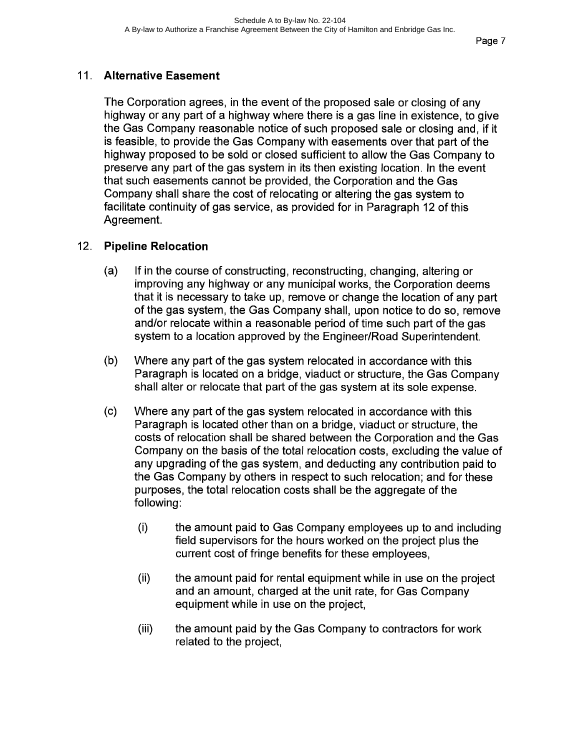# 11. Alternative Easement

The Corporation agrees, in the event of the proposed sale or closing of any highway or any part of a highway where there is a gas line in existence, to give the Gas Company reasonable notice of such proposed sale or closing and, if it is feasible, to provide the Gas Company with easements over that part of the highway proposed to be sold or closed sufficient to allow the Gas Company to preserve any part of the gas system in its then existing location. In the event that such easements cannot be provided, the Corporation and the Gas Company shall share the cost of relocating or altering the gas system to facilitate continuity of gas service, as provided for in Paragraph 12 of this Agreement.

# 12. Pipeline Relocation

- (a) If in the course of constructing, reconstructing, changing, altering or improving any highway or any municipal works, the Corporation deems that it is necessary to take up, remove or change the location of any part of the gas system, the Gas Company shall, upon notice to do so, remove and/or relocate within a reasonable period of time such part of the gas system to a location approved by the Engineer/Road Superintendent.
- (b) Where any part of the gas system relocated in accordance with this Paragraph is located on a bridge, viaduct or structure, the Gas Company shall alter or relocate that part of the gas system at its sole expense.
- (c) Where any part of the gas system relocated in accordance with this Paragraph is located other than on a bridge, viaduct or structure, the costs of relocation shall be shared between the Corporation and the Gas Company on the basis of the total relocation costs, excluding the value of any upgrading of the gas system, and deducting any contribution paid to the Gas Company by others in respect to such relocation; and for these purposes, the total relocation costs shall be the aggregate of the following:
	- (i) the amount paid to Gas Company employees up to and including field supervisors for the hours worked on the project plus the current cost of fringe benefits for these employees,
	- (ii) the amount paid for rental equipment while in use on the project and an amount, charged at the unit rate, for Gas Company equipment while in use on the project,
	- (iii) the amount paid by the Gas Company to contractors for work related to the project,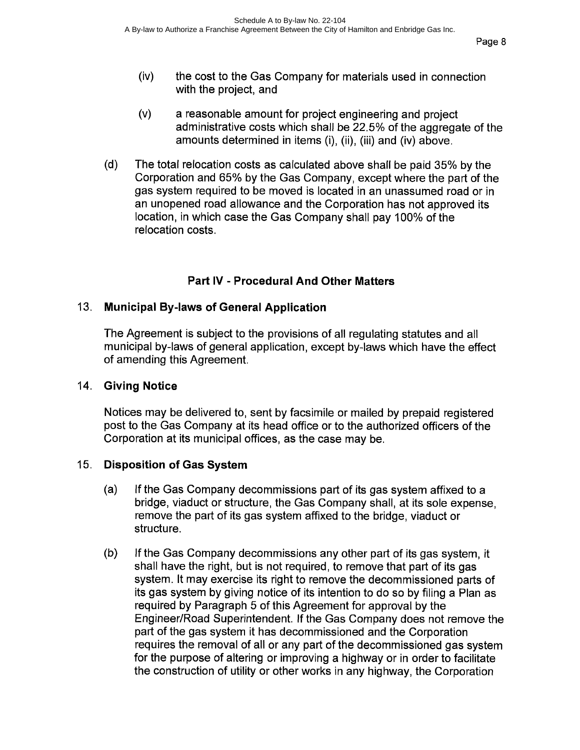- (iv) the cost to the Gas Company for materials used in connection with the project, and
- (v) a reasonable amount for project engineering and project administrative costs which shall be 22.5% of the aggregate of the amounts determined in items (i), (ii), (iii) and (iv) above.
- (d) The total relocation costs as calculated above shall be paid 35% by the Corporation and 65% by the Gas Company, except where the part of the gas system required to be moved is located in an unassumed road or in an unopened road allowance and the Corporation has not approved its location, in which case the Gas Company shall pay 100% of the relocation costs.

# Part IV - Procedural And Other Matters

# 13. Municipal By-laws of General Application

The Agreement is subject to the provisions of all regulating statutes and all municipal by-laws of general application, except by-laws which have the effect of amending this Agreement.

# 14. Giving Notice

Notices may be delivered to, sent by facsimile or mailed by prepaid registered post to the Gas Company at its head office or to the authorized officers of the Corporation at its municipal offices, as the case may be.

# 15. Disposition of Gas System

- (a) If the Gas Company decommissions part of its gas system affixed to a bridge, viaduct or structure, the Gas Company shall, at its sole expense, remove the part of its gas system affixed to the bridge, viaduct or structure.
- (b) If the Gas Company decommissions any other part of its gas system, it shall have the right, but is not required, to remove that part of its gas system. It may exercise its right to remove the decommissioned parts of its gas system by giving notice of its intention to do so by filing a Plan as required by Paragraph 5 of this Agreement for approval by the Engineer/Road Superintendent. If the Gas Company does not remove the part of the gas system it has decommissioned and the Corporation requires the removal of all or any part of the decommissioned gas system for the purpose of altering or improving a highway or in order to facilitate the construction of utility or other works in any highway, the Corporation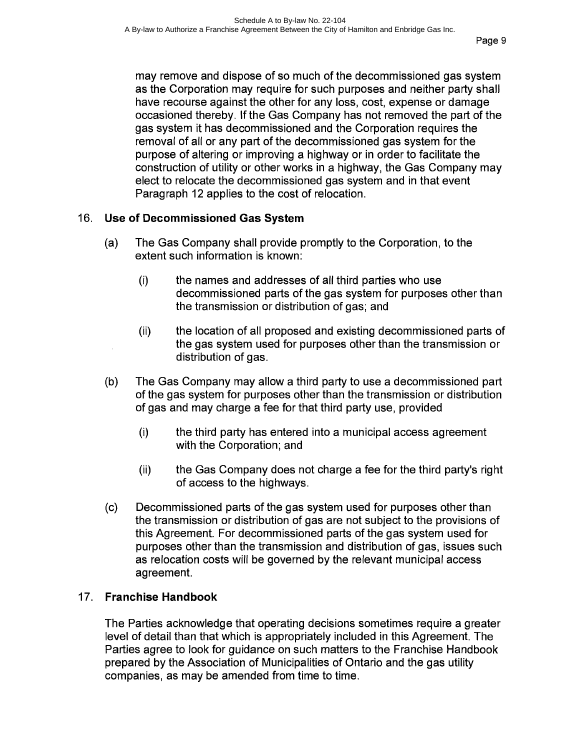may remove and dispose of so much of the decommissioned gas system as the Corporation may require for such purposes and neither party shall have recourse against the other for any loss, cost, expense or damage occasioned thereby. If the Gas Company has not removed the part of the gas system it has decommissioned and the Corporation requires the removal of all or any part of the decommissioned gas system for the purpose of altering or improving a highway or in order to facilitate the construction of utility or other works in a highway, the Gas Company may elect to relocate the decommissioned gas system and in that event Paragraph 12 applies to the cost of relocation.

# 16. Use of Decommissioned Gas System

- (a) The Gas Company shall provide promptly to the Corporation, to the extent such information is known:
	- (i) the names and addresses of all third parties who use decommissioned parts of the gas system for purposes other than the transmission or distribution of gas; and
	- (ii) the location of all proposed and existing decommissioned parts of the gas system used for purposes other than the transmission or distribution of gas.
- (b) The Gas Company may allow a third party to use a decommissioned part of the gas system for purposes other than the transmission or distribution of gas and may charge a fee for that third party use, provided
	- (i) the third party has entered into a municipal access agreement with the Corporation; and
	- (ii) the Gas Company does not charge a fee for the third party's right of access to the highways.
- (c) Decommissioned parts of the gas system used for purposes other than the transmission or distribution of gas are not subject to the provisions of this Agreement. For decommissioned parts of the gas system used for purposes other than the transmission and distribution of gas, issues such as relocation costs will be governed by the relevant municipal access agreement.

# 17. Franchise Handbook

The Parties acknowledge that operating decisions sometimes require a greater level of detail than that which is appropriately included in this Agreement. The Parties agree to look for guidance on such matters to the Franchise Handbook prepared by the Association of Municipalities of Ontario and the gas utility companies, as may be amended from time to time.